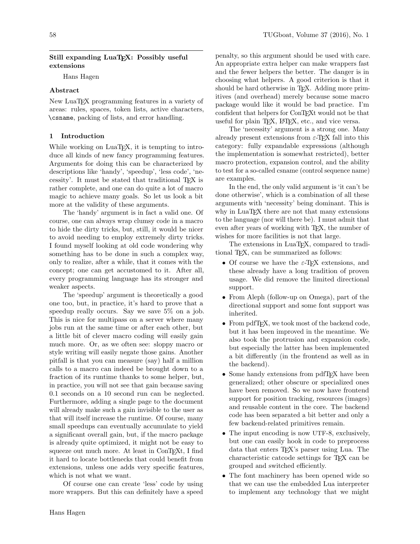# Still expanding LuaT<sub>EX</sub>: Possibly useful extensions

Hans Hagen

# Abstract

New LuaTEX programming features in a variety of areas: rules, spaces, token lists, active characters, \csname, packing of lists, and error handling.

# 1 Introduction

While working on LuaT<sub>E</sub>X, it is tempting to introduce all kinds of new fancy programming features. Arguments for doing this can be characterized by descriptions like 'handy', 'speedup', 'less code', 'necessity'. It must be stated that traditional TEX is rather complete, and one can do quite a lot of macro magic to achieve many goals. So let us look a bit more at the validity of these arguments.

The 'handy' argument is in fact a valid one. Of course, one can always wrap clumsy code in a macro to hide the dirty tricks, but, still, it would be nicer to avoid needing to employ extremely dirty tricks. I found myself looking at old code wondering why something has to be done in such a complex way, only to realize, after a while, that it comes with the concept; one can get accustomed to it. After all, every programming language has its stronger and weaker aspects.

The 'speedup' argument is theoretically a good one too, but, in practice, it's hard to prove that a speedup really occurs. Say we save 5% on a job. This is nice for multipass on a server where many jobs run at the same time or after each other, but a little bit of clever macro coding will easily gain much more. Or, as we often see: sloppy macro or style writing will easily negate those gains. Another pitfall is that you can measure (say) half a million calls to a macro can indeed be brought down to a fraction of its runtime thanks to some helper, but, in practice, you will not see that gain because saving 0.1 seconds on a 10 second run can be neglected. Furthermore, adding a single page to the document will already make such a gain invisible to the user as that will itself increase the runtime. Of course, many small speedups can eventually accumulate to yield a significant overall gain, but, if the macro package is already quite optimized, it might not be easy to squeeze out much more. At least in ConT<sub>EXt</sub>, I find it hard to locate bottlenecks that could benefit from extensions, unless one adds very specific features, which is not what we want.

Of course one can create 'less' code by using more wrappers. But this can definitely have a speed

penalty, so this argument should be used with care. An appropriate extra helper can make wrappers fast and the fewer helpers the better. The danger is in choosing what helpers. A good criterion is that it should be hard otherwise in T<sub>E</sub>X. Adding more primitives (and overhead) merely because some macro package would like it would be bad practice. I'm confident that helpers for ConTEXt would not be that useful for plain T<sub>E</sub>X, L<sup>AT</sup>E<sub>X</sub>, etc., and vice versa.

The 'necessity' argument is a strong one. Many already present extensions from  $\varepsilon$ -T<sub>EX</sub> fall into this category: fully expandable expressions (although the implementation is somewhat restricted), better macro protection, expansion control, and the ability to test for a so-called csname (control sequence name) are examples.

In the end, the only valid argument is 'it can't be done otherwise', which is a combination of all these arguments with 'necessity' being dominant. This is why in LuaTEX there are not that many extensions to the language (nor will there be). I must admit that even after years of working with T<sub>E</sub>X, the number of wishes for more facilities is not that large.

The extensions in LuaT<sub>EX</sub>, compared to traditional TEX, can be summarized as follows:

- Of course we have the  $\varepsilon$ -T<sub>F</sub>X extensions, and these already have a long tradition of proven usage. We did remove the limited directional support.
- From Aleph (follow-up on Omega), part of the directional support and some font support was inherited.
- From pdfT<sub>F</sub>X, we took most of the backend code, but it has been improved in the meantime. We also took the protrusion and expansion code, but especially the latter has been implemented a bit differently (in the frontend as well as in the backend).
- Some handy extensions from pdfT<sub>F</sub>X have been generalized; other obscure or specialized ones have been removed. So we now have frontend support for position tracking, resources (images) and reusable content in the core. The backend code has been separated a bit better and only a few backend-related primitives remain.
- The input encoding is now UTF-8, exclusively, but one can easily hook in code to preprocess data that enters TEX's parser using Lua. The characteristic catcode settings for TEX can be grouped and switched efficiently.
- The font machinery has been opened wide so that we can use the embedded Lua interpreter to implement any technology that we might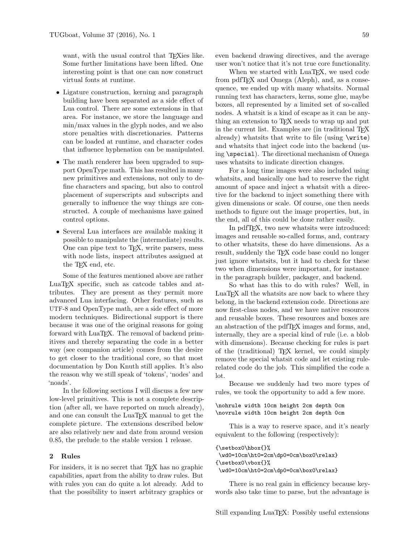want, with the usual control that T<sub>E</sub>Xies like. Some further limitations have been lifted. One interesting point is that one can now construct virtual fonts at runtime.

- Ligature construction, kerning and paragraph building have been separated as a side effect of Lua control. There are some extensions in that area. For instance, we store the language and min/max values in the glyph nodes, and we also store penalties with discretionaries. Patterns can be loaded at runtime, and character codes that influence hyphenation can be manipulated.
- The math renderer has been upgraded to support OpenType math. This has resulted in many new primitives and extensions, not only to define characters and spacing, but also to control placement of superscripts and subscripts and generally to influence the way things are constructed. A couple of mechanisms have gained control options.
- Several Lua interfaces are available making it possible to manipulate the (intermediate) results. One can pipe text to TEX, write parsers, mess with node lists, inspect attributes assigned at the TEX end, etc.

Some of the features mentioned above are rather LuaTEX specific, such as catcode tables and attributes. They are present as they permit more advanced Lua interfacing. Other features, such as UTF-8 and OpenType math, are a side effect of more modern techniques. Bidirectional support is there because it was one of the original reasons for going forward with LuaT<sub>EX</sub>. The removal of backend primitives and thereby separating the code in a better way (see companion article) comes from the desire to get closer to the traditional core, so that most documentation by Don Knuth still applies. It's also the reason why we still speak of 'tokens', 'nodes' and 'noads'.

In the following sections I will discuss a few new low-level primitives. This is not a complete description (after all, we have reported on much already), and one can consult the LuaT<sub>EX</sub> manual to get the complete picture. The extensions described below are also relatively new and date from around version 0.85, the prelude to the stable version 1 release.

#### 2 Rules

For insiders, it is no secret that T<sub>EX</sub> has no graphic capabilities, apart from the ability to draw rules. But with rules you can do quite a lot already. Add to that the possibility to insert arbitrary graphics or even backend drawing directives, and the average user won't notice that it's not true core functionality.

When we started with LuaTEX, we used code from pdfTFX and Omega (Aleph), and, as a consequence, we ended up with many whatsits. Normal running text has characters, kerns, some glue, maybe boxes, all represented by a limited set of so-called nodes. A whatsit is a kind of escape as it can be anything an extension to T<sub>F</sub>X needs to wrap up and put in the current list. Examples are (in traditional TFX already) whatsits that write to file (using \write) and whatsits that inject code into the backend (using \special). The directional mechanism of Omega uses whatsits to indicate direction changes.

For a long time images were also included using whatsits, and basically one had to reserve the right amount of space and inject a whatsit with a directive for the backend to inject something there with given dimensions or scale. Of course, one then needs methods to figure out the image properties, but, in the end, all of this could be done rather easily.

In pdfTEX, two new whatsits were introduced: images and reusable so-called forms, and, contrary to other whatsits, these do have dimensions. As a result, suddenly the TEX code base could no longer just ignore whatsits, but it had to check for these two when dimensions were important, for instance in the paragraph builder, packager, and backend.

So what has this to do with rules? Well, in LuaTEX all the whatsits are now back to where they belong, in the backend extension code. Directions are now first-class nodes, and we have native resources and reusable boxes. These resources and boxes are an abstraction of the pdfTEX images and forms, and, internally, they are a special kind of rule (i.e. a blob with dimensions). Because checking for rules is part of the (traditional) TEX kernel, we could simply remove the special whatsit code and let existing rulerelated code do the job. This simplified the code a lot.

Because we suddenly had two more types of rules, we took the opportunity to add a few more.

\nohrule width 10cm height 2cm depth 0cm \novrule width 10cm height 2cm depth 0cm

This is a way to reserve space, and it's nearly equivalent to the following (respectively):

```
{\setbox0\hbox{}%
\wd0=10cm\ht0=2cm\dp0=0cm\box0\relax}
{\setbox0\vbox{}%
\wd0=10cm\ht0=2cm\dp0=0cm\box0\relax}
```
There is no real gain in efficiency because keywords also take time to parse, but the advantage is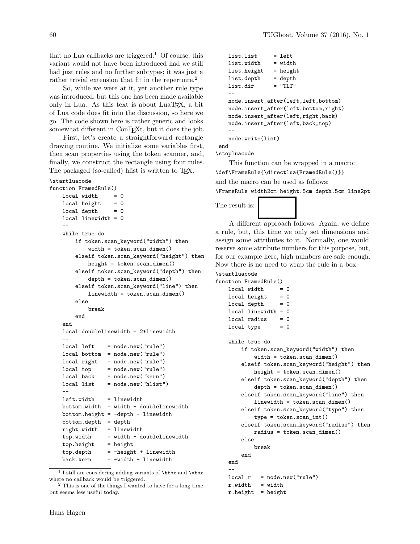that no Lua callbacks are triggered.<sup>1</sup> Of course, this variant would not have been introduced had we still had just rules and no further subtypes; it was just a rather trivial extension that fit in the repertoire.<sup>2</sup>

So, while we were at it, yet another rule type was introduced, but this one has been made available only in Lua. As this text is about LuaT<sub>EX</sub>, a bit of Lua code does fit into the discussion, so here we go. The code shown here is rather generic and looks somewhat different in ConTEXt, but it does the job.

First, let's create a straightforward rectangle drawing routine. We initialize some variables first, then scan properties using the token scanner, and, finally, we construct the rectangle using four rules. The packaged (so-called) hlist is written to T<sub>E</sub>X.

#### \startluacode

```
function FramedRule()
   \begin{array}{rcl} \text{local width} & = & 0 \end{array}local height = 0local depth = 0local linewidth = 0
    --
   while true do
       if token.scan_keyword("width") then
            width = token.scan_dimen()
       elseif token.scan_keyword("height") then
            height = token.scan_dimen()
       elseif token.scan_keyword("depth") then
            depth = token.scan_dimen()
       elseif token.scan_keyword("line") then
            linewidth = token.scan_dimen()
       else
            break
       end
   end
   local doublelinewidth = 2*linewidth
   --
   local left = node.new("rule")local bottom = node.new("rule")
   local right = node.new("rule")
   local top = node.new("rule")
   local back = node.new("kern")
   local list = node.new("hlist")--
   left.width = linewidth
   bottom.width = width - doublelinewidthbottom.height = -depth + linewidthbottom.depth = depth
   right.width = linewidth
   topu width - doublelinewidthtop. height = height
   top.depth = -height + linewidth
   back.kern = -width + linewidth
```

```
list.list = leftlist.width = width
  list.height = height
  list.depth = depth
  list.dir = "TLT"--
  node.insert_after(left,left,bottom)
  node.insert_after(left,bottom,right)
  node.insert_after(left,right,back)
  node.insert_after(left,back,top)
   --
  node.write(list)
end
```
\stopluacode

This function can be wrapped in a macro: \def\FrameRule{\directlua{FramedRule()}} and the macro can be used as follows: \FrameRule width2cm height.5cm depth.5cm line2pt

# The result is:

A different approach follows. Again, we define a rule, but, this time we only set dimensions and assign some attributes to it. Normally, one would reserve some attribute numbers for this purpose, but, for our example here, high numbers are safe enough. Now there is no need to wrap the rule in a box.

```
\startluacode
```

```
function FramedRule()
   local width = 0local height = 0local depth = 0local linewidth = 0
   local radius = 0
   local type = 0--
   while true do
       if token.scan_keyword("width") then
           width = token.scan_dimen()
       elseif token.scan_keyword("height") then
           height = token.scan_dimen()elseif token.scan_keyword("depth") then
           depth = token.scan_dimen()
       elseif token.scan_keyword("line") then
           linewidth = token.scan_dimen()
       elseif token.scan_keyword("type") then
           type = token.scan\_int()elseif token.scan_keyword("radius") then
           radius = token.scan_dimen()
       else
           break
       end
   end
    --
   local r = node.new("rule")r.width = width
   r.height = height
```
<sup>1</sup> I still am considering adding variants of \hbox and \vbox where no callback would be triggered.

<sup>2</sup> This is one of the things I wanted to have for a long time but seems less useful today.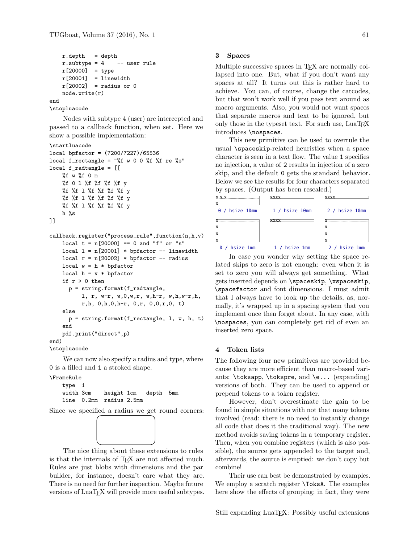```
r. depth = depth
   r.subtype = 4 -- user rule
   r[20000] = typer[20001] = linewidth
   r[20002] = radius or 0
   node.write(r)
end
```

```
\stopluacode
```
Nodes with subtype 4 (user) are intercepted and passed to a callback function, when set. Here we show a possible implementation:

#### \startluacode

```
local bpfactor = (7200/7227)/65536
local f_rectangle = "%f w 0 0 %f %f re %s"
local f_radtangle = [[
    %f w %f 0 m
   %f 0 l %f %f %f %f y
   %f %f l %f %f %f %f y
    %f %f l %f %f %f %f y
   %f %f l %f %f %f %f y
    h %s
]]
callback.register("process_rule",function(n,h,v)
    local t = n[20000] == 0 and "f" or "s"
   local l = n[20001] * bpfactor -- linewidthlocal r = n[20002] * bpfactor -- radiuslocal w = h * bpfactorlocal h = v * bpfactorif r > 0 then
     p = string.format(f_radtangle,
          l, r, w-r, w,0,w,r, w,h-r, w,h,w-r,h,
          r,h, 0,h,0,h-r, 0,r, 0,0,r,0, t)
    else
     p = string.format(f_rectangle, 1, w, h, t)
    end
    pdf.print("direct",p)
end)
```

```
\stopluacode
```
We can now also specify a radius and type, where 0 is a filled and 1 a stroked shape.

# \FrameRule

```
type 1
width 3cm height 1cm depth 5mm
line 0.2mm radius 2.5mm
```
Since we specified a radius we get round corners:



is that the internals of TEX are not affected much. Rules are just blobs with dimensions and the par There is no need for further inspection. Maybe future versions of LuaTEX will provide more useful subtypes. The nice thing about these extensions to rules builder, for instance, doesn't care what they are.

#### 3 Spaces Because we specified a radius we get round corners:

Multiple successive spaces in T<sub>EX</sub> are normally collapsed into one. But, what if you don't want any spaces at all? It turns out this is rather hard to achieve. You can, of course, change the catcodes, but that won't work well if you pass text around as macro arguments. Also, you would not want spaces **1.3 Spaces** that separate macros and text to be ignored, but only those in the typeset text. For such use,  $\text{LuaT}\text{E}\text{X}$  $introduces \n\nospaces.$ the part is no one. But, where if you don't want  $\lim_{\epsilon \to 0}$ motocalles, mospaces,

This new primitive can be used to overrule the usual \spaceskip-related heuristics when a space character is seen in a text flow. The value  $1$  specifies no injection, a value of 2 results in injection of a zero skip, and the default 0 gets the standard behavior. Below we see the results for four characters separated by spaces. (Output has been rescaled.)



gets inserted depends on **\spaceskip**, **\xspaceskip**,  $\frac{1}{2}$  in case  $\frac{1}{2}$  is not enough setting the space relation  $\frac{1}{2}$ lated skips to zero is not enough: even when it is In case you wonder why setting the space reset to zero you will always get something. What \spacefactor and font dimensions. I must admit that I always have to look up the details, as, normally, it's wrapped up in a spacing system that you implement once then forget about. In any case, with \nospaces, you can completely get rid of even an inserted zero space.

#### 4 Token lists

The following four new primitives are provided because they are more efficient than macro-based variants: \toksapp, \tokspre, and \e... (expanding) versions of both. They can be used to append or prepend tokens to a token register.

However, don't overestimate the gain to be found in simple situations with not that many tokens involved (read: there is no need to instantly change all code that does it the traditional way). The new method avoids saving tokens in a temporary register. Then, when you combine registers (which is also possible), the source gets appended to the target and, afterwards, the source is emptied: we don't copy but combine!

Their use can best be demonstrated by examples. We employ a scratch register \ToksA. The examples here show the effects of grouping; in fact, they were

Still expanding LuaT<sub>EX</sub>: Possibly useful extensions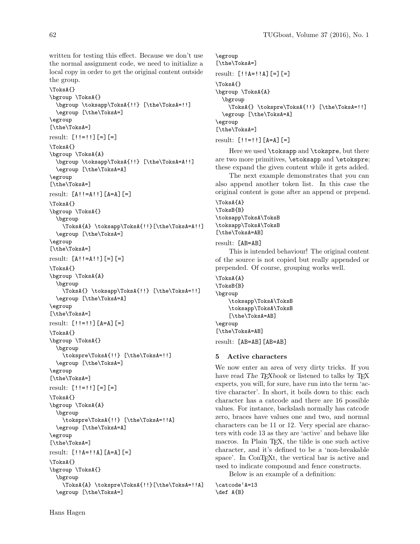written for testing this effect. Because we don't use the normal assignment code, we need to initialize a local copy in order to get the original content outside the group.

\ToksA{} \bgroup \ToksA{} \bgroup \toksapp\ToksA{!!} [\the\ToksA=!!] \egroup [\the\ToksA=] \egroup [\the\ToksA=] result:  $[$ !!!=!!] $[$ =] $[$ =] \ToksA{} \bgroup \ToksA{A} \bgroup \toksapp\ToksA{!!} [\the\ToksA=A!!] \egroup [\the\ToksA=A] \egroup [\the\ToksA=] result: [A!!=A!!][A=A][=] \ToksA{} \bgroup \ToksA{} \bgroup \ToksA{A} \toksapp\ToksA{!!}[\the\ToksA=A!!] \egroup [\the\ToksA=] \egroup [\the\ToksA=] result:  $[A!! = A!!]$ [=][=] \ToksA{} \bgroup \ToksA{A} \bgroup \ToksA{} \toksapp\ToksA{!!} [\the\ToksA=!!] \egroup [\the\ToksA=A] \egroup [\the\ToksA=] result: [!!=!!][A=A][=] \ToksA{} \bgroup \ToksA{} \bgroup \tokspre\ToksA{!!} [\the\ToksA=!!] \egroup [\the\ToksA=] \egroup [\the\ToksA=] result:  $[!! =!!]$ [=][=] \ToksA{} \bgroup \ToksA{A} \bgroup \tokspre\ToksA{!!} [\the\ToksA=!!A] \egroup [\the\ToksA=A] \egroup [\the\ToksA=] result: [!!A=!!A][A=A][=] \ToksA{} \bgroup \ToksA{} \bgroup \ToksA{A} \tokspre\ToksA{!!}[\the\ToksA=!!A] \egroup [\the\ToksA=]

\egroup [\the\ToksA=] result: [!!A=!!A][=][=] \ToksA{} \bgroup \ToksA{A} \bgroup \ToksA{} \tokspre\ToksA{!!} [\the\ToksA=!!] \egroup [\the\ToksA=A] \egroup [\the\ToksA=] result:  $[!! =!!] [A=A] [-]$ 

Here we used \toksapp and \tokspre, but there are two more primitives, \etoksapp and \etokspre; these expand the given content while it gets added.

The next example demonstrates that you can also append another token list. In this case the original content is gone after an append or prepend.

### \ToksA{A} \ToksB{B} \toksapp\ToksA\ToksB \toksapp\ToksA\ToksB [\the\ToksA=AB]

result: [AB=AB]

This is intended behaviour! The original content of the source is not copied but really appended or prepended. Of course, grouping works well.

\ToksA{A} \ToksB{B} \bgroup \toksapp\ToksA\ToksB \toksapp\ToksA\ToksB [\the\ToksA=AB] \egroup [\the\ToksA=AB]

result: [AB=AB][AB=AB]

#### 5 Active characters

We now enter an area of very dirty tricks. If you have read The TEXbook or listened to talks by TEX experts, you will, for sure, have run into the term 'active character'. In short, it boils down to this: each character has a catcode and there are 16 possible values. For instance, backslash normally has catcode zero, braces have values one and two, and normal characters can be 11 or 12. Very special are characters with code 13 as they are 'active' and behave like macros. In Plain T<sub>E</sub>X, the tilde is one such active character, and it's defined to be a 'non-breakable space'. In ConT<sub>EXt</sub>, the vertical bar is active and used to indicate compound and fence constructs.

Below is an example of a definition:

\catcode'A=13 \def A{B}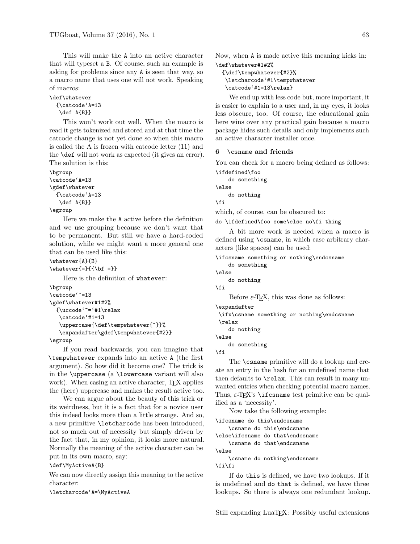This will make the A into an active character that will typeset a B. Of course, such an example is asking for problems since any A is seen that way, so a macro name that uses one will not work. Speaking of macros:

```
\def\whatever
  {\catcode'A=13
   \def A{B}}
```
This won't work out well. When the macro is read it gets tokenized and stored and at that time the catcode change is not yet done so when this macro is called the A is frozen with catcode letter (11) and the \def will not work as expected (it gives an error). The solution is this:

```
\bgroup
\catcode'A=13
\gdef\whatever
  {\catcode'A=13
   \def A{B}}
```
# \egroup

Here we make the A active before the definition and we use grouping because we don't want that to be permanent. But still we have a hard-coded solution, while we might want a more general one that can be used like this:

```
\whatever{A}{B}
\{\hat{\mathbf{z}}\}_{\text{sub}}
```
Here is the definition of whatever:

```
\bgroup
\catcode'~=13
\gdef\whatever#1#2%
  {\uccode'~='#1\relax
   \catcode'#1=13
   \uppercase{\def\tempwhatever{~}}%
   \expandafter\gdef\tempwhatever{#2}}
```
\egroup

If you read backwards, you can imagine that \tempwhatever expands into an active A (the first argument). So how did it become one? The trick is in the \uppercase (a \lowercase variant will also work). When casing an active character, T<sub>E</sub>X applies the (here) uppercase and makes the result active too.

We can argue about the beauty of this trick or its weirdness, but it is a fact that for a novice user this indeed looks more than a little strange. And so, a new primitive \letcharcode has been introduced, not so much out of necessity but simply driven by the fact that, in my opinion, it looks more natural. Normally the meaning of the active character can be put in its own macro, say:

\def\MyActiveA{B}

We can now directly assign this meaning to the active character:

\letcharcode'A=\MyActiveA

Now, when A is made active this meaning kicks in: \def\whatever#1#2%

```
{\def\tempwhatever{#2}%
\letcharcode'#1\tempwhatever
\catcode'#1=13\relax}
```
We end up with less code but, more important, it is easier to explain to a user and, in my eyes, it looks less obscure, too. Of course, the educational gain here wins over any practical gain because a macro package hides such details and only implements such an active character installer once.

## 6 \csname and friends

You can check for a macro being defined as follows:

```
\ifdefined\foo
    do something
\else
    do nothing
\fi
```
which, of course, can be obscured to:

do \ifdefined\foo some\else no\fi thing

A bit more work is needed when a macro is defined using \csname, in which case arbitrary characters (like spaces) can be used:

```
\ifcsname something or nothing\endcsname
    do something
\else
    do nothing
\fi
    Before \varepsilon-T<sub>EX</sub>, this was done as follows:
\expandafter
\ifx\csname something or nothing\endcsname
 \relax
```
do nothing \else

do something

\fi

The \csname primitive will do a lookup and create an entry in the hash for an undefined name that then defaults to \relax. This can result in many unwanted entries when checking potential macro names. Thus,  $\varepsilon$ -T<sub>F</sub>X's **\ifcsname** test primitive can be qualified as a 'necessity'.

Now take the following example:

```
\ifcsname do this\endcsname
    \csname do this\endcsname
\else\ifcsname do that\endcsname
   \csname do that\endcsname
\else
   \csname do nothing\endcsname
```
\fi\fi

If do this is defined, we have two lookups. If it is undefined and do that is defined, we have three lookups. So there is always one redundant lookup.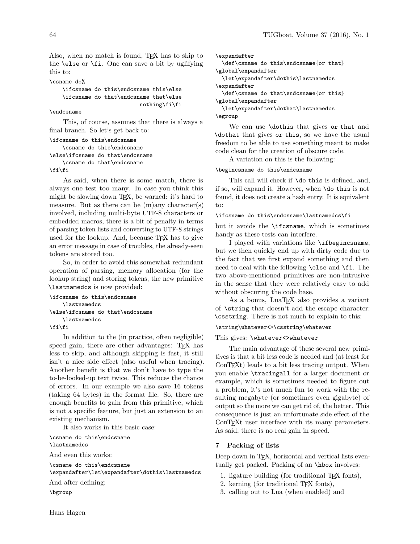Also, when no match is found, TEX has to skip to the \else or \fi. One can save a bit by uglifying this to:

#### \csname do%

\ifcsname do this\endcsname this\else \ifcsname do that\endcsname that\else nothing\fi\fi

#### \endcsname

This, of course, assumes that there is always a final branch. So let's get back to:

```
\ifcsname do this\endcsname
    \csname do this\endcsname
\else\ifcsname do that\endcsname
    \csname do that\endcsname
\fi\fi
```
As said, when there is some match, there is always one test too many. In case you think this might be slowing down TEX, be warned: it's hard to measure. But as there can be  $(m)$ any character $(s)$ involved, including multi-byte UTF-8 characters or embedded macros, there is a bit of penalty in terms of parsing token lists and converting to UTF-8 strings used for the lookup. And, because TEX has to give an error message in case of troubles, the already-seen tokens are stored too.

So, in order to avoid this somewhat redundant operation of parsing, memory allocation (for the lookup string) and storing tokens, the new primitive \lastnamedcs is now provided:

```
\ifcsname do this\endcsname
    \lastnamedcs
\else\ifcsname do that\endcsname
    \lastnamedcs
```
\fi\fi

In addition to the (in practice, often negligible) speed gain, there are other advantages: T<sub>F</sub>X has less to skip, and although skipping is fast, it still isn't a nice side effect (also useful when tracing). Another benefit is that we don't have to type the to-be-looked-up text twice. This reduces the chance of errors. In our example we also save 16 tokens (taking 64 bytes) in the format file. So, there are enough benefits to gain from this primitive, which is not a specific feature, but just an extension to an existing mechanism.

It also works in this basic case:

\csname do this\endcsname \lastnamedcs And even this works:

\csname do this\endcsname \expandafter\let\expandafter\dothis\lastnamedcs And after defining:

\bgroup

```
\expandafter
  \def\csname do this\endcsname{or that}
\global\expandafter
  \let\expandafter\dothis\lastnamedcs
\expandafter
  \def\csname do that\endcsname{or this}
\global\expandafter
  \let\expandafter\dothat\lastnamedcs
\egroup
```
We can use \dothis that gives or that and \dothat that gives or this, so we have the usual freedom to be able to use something meant to make code clean for the creation of obscure code.

A variation on this is the following:

#### \begincsname do this\endcsname

This call will check if \do this is defined, and, if so, will expand it. However, when \do this is not found, it does not create a hash entry. It is equivalent to:

#### \ifcsname do this\endcsname\lastnamedcs\fi

but it avoids the \ifcsname, which is sometimes handy as these tests can interfere.

I played with variations like \ifbegincsname, but we then quickly end up with dirty code due to the fact that we first expand something and then need to deal with the following \else and \fi. The two above-mentioned primitives are non-intrusive in the sense that they were relatively easy to add without obscuring the code base.

As a bonus, LuaT<sub>EX</sub> also provides a variant of \string that doesn't add the escape character: \csstring. There is not much to explain to this:

# \string\whatever<>\csstring\whatever

#### This gives: \whatever<>whatever

The main advantage of these several new primitives is that a bit less code is needed and (at least for ConT<sub>E</sub>X<sup>t</sup>) leads to a bit less tracing output. When you enable \tracingall for a larger document or example, which is sometimes needed to figure out a problem, it's not much fun to work with the resulting megabyte (or sometimes even gigabyte) of output so the more we can get rid of, the better. This consequence is just an unfortunate side effect of the ConTFXt user interface with its many parameters. As said, there is no real gain in speed.

### 7 Packing of lists

Deep down in T<sub>F</sub>X, horizontal and vertical lists eventually get packed. Packing of an **\hbox** involves:

- 1. ligature building (for traditional TEX fonts),
- 2. kerning (for traditional TEX fonts),
- 3. calling out to Lua (when enabled) and